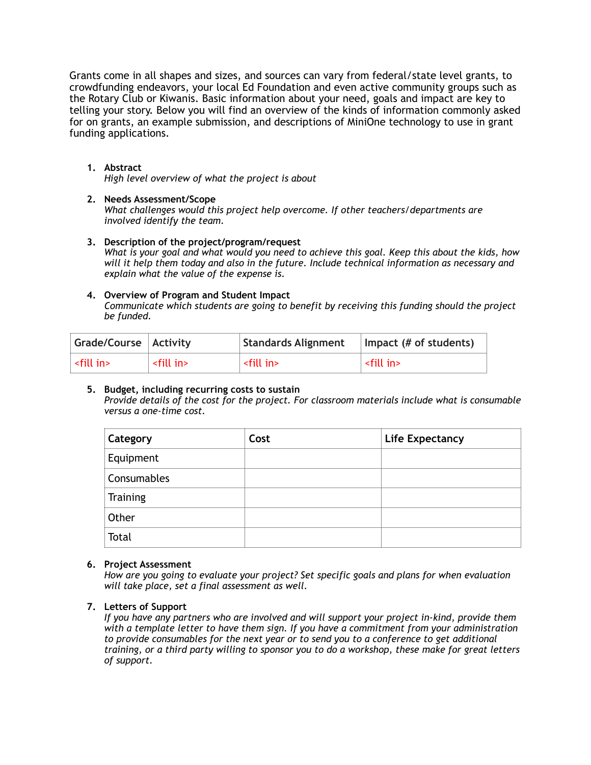Grants come in all shapes and sizes, and sources can vary from federal/state level grants, to crowdfunding endeavors, your local Ed Foundation and even active community groups such as the Rotary Club or Kiwanis. Basic information about your need, goals and impact are key to telling your story. Below you will find an overview of the kinds of information commonly asked for on grants, an example submission, and descriptions of MiniOne technology to use in grant funding applications.

## **1. Abstract**

*High level overview of what the project is about* 

### **2. Needs Assessment/Scope**

*What challenges would this project help overcome. If other teachers/departments are involved identify the team.* 

**3. Description of the project/program/request**  *What is your goal and what would you need to achieve this goal. Keep this about the kids, how will it help them today and also in the future. Include technical information as necessary and explain what the value of the expense is.* 

#### **4. Overview of Program and Student Impact**

*Communicate which students are going to benefit by receiving this funding should the project be funded.* 

| Grade/Course   Activity    |                     | <b>Standards Alignment</b> | Impact (# of students) |
|----------------------------|---------------------|----------------------------|------------------------|
| $\mid$ <fill in=""></fill> | <fill in=""></fill> | $\sim$ fill in $>$         | <fill in=""></fill>    |

#### **5. Budget, including recurring costs to sustain**

*Provide details of the cost for the project. For classroom materials include what is consumable versus a one-time cost.* 

| Category    | Cost | <b>Life Expectancy</b> |
|-------------|------|------------------------|
| Equipment   |      |                        |
| Consumables |      |                        |
| Training    |      |                        |
| Other       |      |                        |
| Total       |      |                        |

#### **6. Project Assessment**

*How are you going to evaluate your project? Set specific goals and plans for when evaluation will take place, set a final assessment as well.* 

#### **7. Letters of Support**

*If you have any partners who are involved and will support your project in-kind, provide them with a template letter to have them sign. If you have a commitment from your administration to provide consumables for the next year or to send you to a conference to get additional training, or a third party willing to sponsor you to do a workshop, these make for great letters of support.*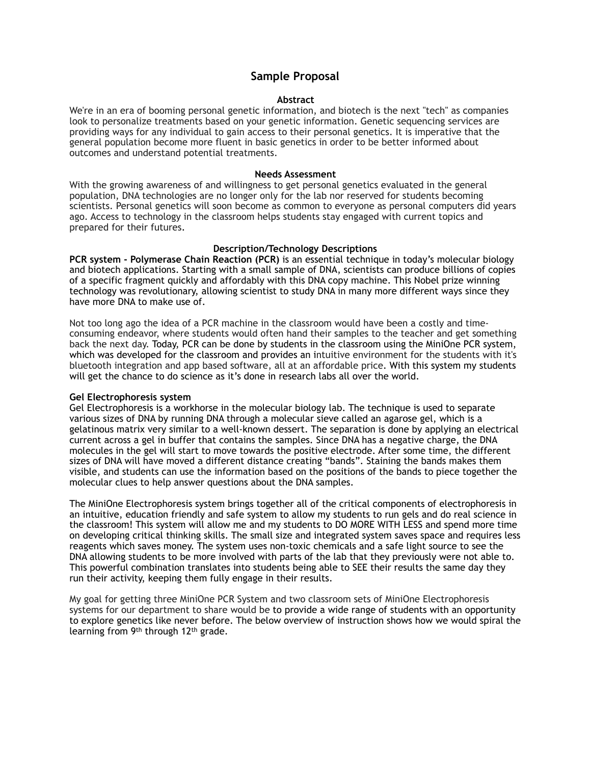# **Sample Proposal**

#### **Abstract**

We're in an era of booming personal genetic information, and biotech is the next "tech" as companies look to personalize treatments based on your genetic information. Genetic sequencing services are providing ways for any individual to gain access to their personal genetics. It is imperative that the general population become more fluent in basic genetics in order to be better informed about outcomes and understand potential treatments.

#### **Needs Assessment**

With the growing awareness of and willingness to get personal genetics evaluated in the general population, DNA technologies are no longer only for the lab nor reserved for students becoming scientists. Personal genetics will soon become as common to everyone as personal computers did years ago. Access to technology in the classroom helps students stay engaged with current topics and prepared for their futures.

#### **Description/Technology Descriptions**

**PCR system - Polymerase Chain Reaction (PCR)** is an essential technique in today's molecular biology and biotech applications. Starting with a small sample of DNA, scientists can produce billions of copies of a specific fragment quickly and affordably with this DNA copy machine. This Nobel prize winning technology was revolutionary, allowing scientist to study DNA in many more different ways since they have more DNA to make use of.

Not too long ago the idea of a PCR machine in the classroom would have been a costly and timeconsuming endeavor, where students would often hand their samples to the teacher and get something back the next day. Today, PCR can be done by students in the classroom using the MiniOne PCR system, which was developed for the classroom and provides an intuitive environment for the students with it's bluetooth integration and app based software, all at an affordable price. With this system my students will get the chance to do science as it's done in research labs all over the world.

#### **Gel Electrophoresis system**

Gel Electrophoresis is a workhorse in the molecular biology lab. The technique is used to separate various sizes of DNA by running DNA through a molecular sieve called an agarose gel, which is a gelatinous matrix very similar to a well-known dessert. The separation is done by applying an electrical current across a gel in buffer that contains the samples. Since DNA has a negative charge, the DNA molecules in the gel will start to move towards the positive electrode. After some time, the different sizes of DNA will have moved a different distance creating "bands". Staining the bands makes them visible, and students can use the information based on the positions of the bands to piece together the molecular clues to help answer questions about the DNA samples.

The MiniOne Electrophoresis system brings together all of the critical components of electrophoresis in an intuitive, education friendly and safe system to allow my students to run gels and do real science in the classroom! This system will allow me and my students to DO MORE WITH LESS and spend more time on developing critical thinking skills. The small size and integrated system saves space and requires less reagents which saves money. The system uses non-toxic chemicals and a safe light source to see the DNA allowing students to be more involved with parts of the lab that they previously were not able to. This powerful combination translates into students being able to SEE their results the same day they run their activity, keeping them fully engage in their results.

My goal for getting three MiniOne PCR System and two classroom sets of MiniOne Electrophoresis systems for our department to share would be to provide a wide range of students with an opportunity to explore genetics like never before. The below overview of instruction shows how we would spiral the learning from 9th through 12th grade.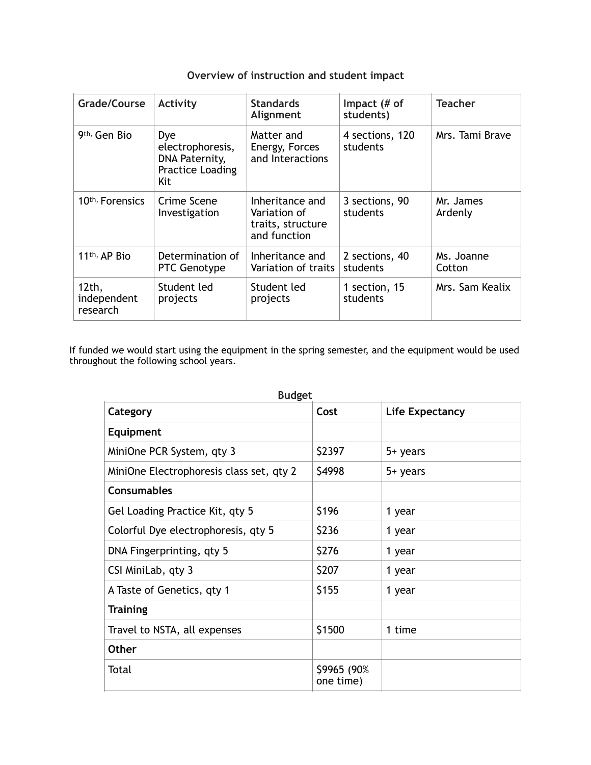| <b>Grade/Course</b>              | Activity                                                                    | <b>Standards</b><br>Alignment                                        | Impact (# of<br>students)   | <b>Teacher</b>       |
|----------------------------------|-----------------------------------------------------------------------------|----------------------------------------------------------------------|-----------------------------|----------------------|
| 9 <sup>th,</sup> Gen Bio         | Dye<br>electrophoresis,<br>DNA Paternity,<br><b>Practice Loading</b><br>Kit | Matter and<br>Energy, Forces<br>and Interactions                     | 4 sections, 120<br>students | Mrs. Tami Brave      |
| 10 <sup>th,</sup> Forensics      | Crime Scene<br>Investigation                                                | Inheritance and<br>Variation of<br>traits, structure<br>and function | 3 sections, 90<br>students  | Mr. James<br>Ardenly |
| 11 <sup>th,</sup> AP Bio         | Determination of<br><b>PTC Genotype</b>                                     | Inheritance and<br>Variation of traits                               | 2 sections, 40<br>students  | Ms. Joanne<br>Cotton |
| 12th,<br>independent<br>research | Student led<br>projects                                                     | Student led<br>projects                                              | 1 section, 15<br>students   | Mrs. Sam Kealix      |

# **Overview of instruction and student impact**

If funded we would start using the equipment in the spring semester, and the equipment would be used throughout the following school years.

| Category                                 | Cost                     | <b>Life Expectancy</b> |  |
|------------------------------------------|--------------------------|------------------------|--|
| Equipment                                |                          |                        |  |
| MiniOne PCR System, qty 3                | \$2397                   | 5+ years               |  |
| MiniOne Electrophoresis class set, qty 2 | \$4998                   | 5+ years               |  |
| <b>Consumables</b>                       |                          |                        |  |
| Gel Loading Practice Kit, qty 5          | \$196                    | 1 year                 |  |
| Colorful Dye electrophoresis, qty 5      | \$236                    | 1 year                 |  |
| DNA Fingerprinting, qty 5                | \$276                    | 1 year                 |  |
| CSI MiniLab, qty 3                       | \$207                    | 1 year                 |  |
| A Taste of Genetics, qty 1               | \$155                    | 1 year                 |  |
| <b>Training</b>                          |                          |                        |  |
| Travel to NSTA, all expenses             | \$1500                   | 1 time                 |  |
| <b>Other</b>                             |                          |                        |  |
| Total                                    | \$9965 (90%<br>one time) |                        |  |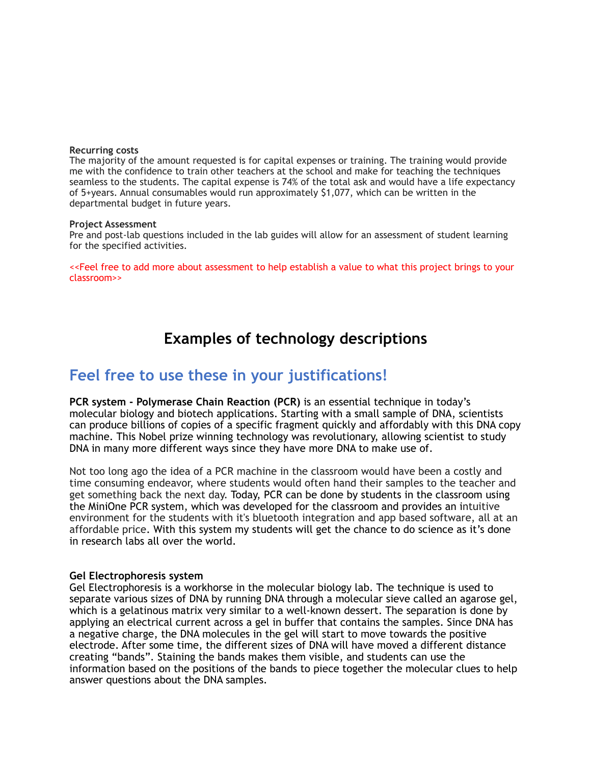#### **Recurring costs**

The majority of the amount requested is for capital expenses or training. The training would provide me with the confidence to train other teachers at the school and make for teaching the techniques seamless to the students. The capital expense is 74% of the total ask and would have a life expectancy of 5+years. Annual consumables would run approximately \$1,077, which can be written in the departmental budget in future years.

#### **Project Assessment**

Pre and post-lab questions included in the lab guides will allow for an assessment of student learning for the specified activities.

<<Feel free to add more about assessment to help establish a value to what this project brings to your classroom>>

# **Examples of technology descriptions**

# **Feel free to use these in your justifications!**

**PCR system - Polymerase Chain Reaction (PCR)** is an essential technique in today's molecular biology and biotech applications. Starting with a small sample of DNA, scientists can produce billions of copies of a specific fragment quickly and affordably with this DNA copy machine. This Nobel prize winning technology was revolutionary, allowing scientist to study DNA in many more different ways since they have more DNA to make use of.

Not too long ago the idea of a PCR machine in the classroom would have been a costly and time consuming endeavor, where students would often hand their samples to the teacher and get something back the next day. Today, PCR can be done by students in the classroom using the MiniOne PCR system, which was developed for the classroom and provides an intuitive environment for the students with it's bluetooth integration and app based software, all at an affordable price. With this system my students will get the chance to do science as it's done in research labs all over the world.

#### **Gel Electrophoresis system**

Gel Electrophoresis is a workhorse in the molecular biology lab. The technique is used to separate various sizes of DNA by running DNA through a molecular sieve called an agarose gel, which is a gelatinous matrix very similar to a well-known dessert. The separation is done by applying an electrical current across a gel in buffer that contains the samples. Since DNA has a negative charge, the DNA molecules in the gel will start to move towards the positive electrode. After some time, the different sizes of DNA will have moved a different distance creating "bands". Staining the bands makes them visible, and students can use the information based on the positions of the bands to piece together the molecular clues to help answer questions about the DNA samples.